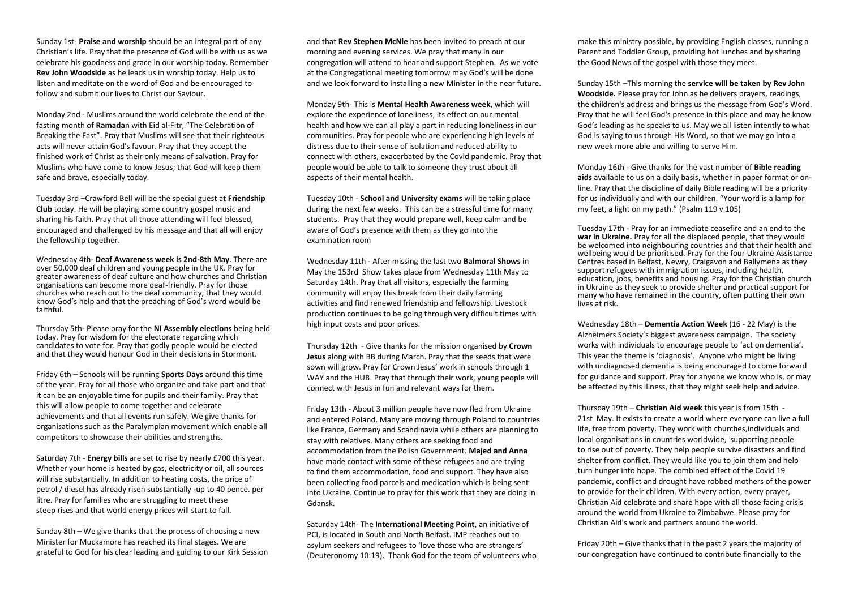Sunday 1st- **Praise and worship** should be an integral part of any Christian's life. Pray that the presence of God will be with us as we celebrate his goodness and grace in our worship today. Remember **Rev John Woodside** as he leads us in worship today. Help us to listen and meditate on the word of God and be encouraged to follow and submit our lives to Christ our Saviour.

Monday 2nd - Muslims around the world celebrate the end of the fasting month of **Ramada**n with Eid al-Fitr, "The Celebration of Breaking the Fast". Pray that Muslims will see that their righteous acts will never attain God's favour. Pray that they accept the finished work of Christ as their only means of salvation. Pray for Muslims who have come to know Jesus; that God will keep them safe and brave, especially today.

Tuesday 3rd –Crawford Bell will be the special guest at **Friendship Club** today. He will be playing some country gospel music and sharing his faith. Pray that all those attending will feel blessed, encouraged and challenged by his message and that all will enjoy the fellowship together.

Wednesday 4th- **Deaf Awareness week is 2nd-8th May**. There are over 50,000 deaf children and young people in the UK. Pray for greater awareness of deaf culture and how churches and Christian organisations can become more deaf-friendly. Pray for those churches who reach out to the deaf community, that they would know God's help and that the preaching of God's word would be faithful.

Thursday 5th- Please pray for the **NI Assembly elections** being held today. Pray for wisdom for the electorate regarding which candidates to vote for. Pray that godly people would be elected and that they would honour God in their decisions in Stormont.

Friday 6th – Schools will be running **Sports Days** around this time of the year. Pray for all those who organize and take part and that it can be an enjoyable time for pupils and their family. Pray that this will allow people to come together and celebrate achievements and that all events run safely. We give thanks for organisations such as the Paralympian movement which enable all competitors to showcase their abilities and strengths.

Saturday 7th - **Energy bills** are set to rise by nearly £700 this year. Whether your home is heated by gas, electricity or oil, all sources will rise substantially. In addition to heating costs, the price of petrol / diesel has already risen substantially -up to 40 pence. per litre. Pray for families who are struggling to meet these steep rises and that world energy prices will start to fall.

Sunday 8th – We give thanks that the process of choosing a new Minister for Muckamore has reached its final stages. We are grateful to God for his clear leading and guiding to our Kirk Session

and that **Rev Stephen McNie** has been invited to preach at our morning and evening services. We pray that many in our congregation will attend to hear and support Stephen. As we vote at the Congregational meeting tomorrow may God's will be done and we look forward to installing a new Minister in the near future.

Monday 9th- This is **Mental Health Awareness week**, which will explore the experience of loneliness, its effect on our mental health and how we can all play a part in reducing loneliness in our communities. Pray for people who are experiencing high levels of distress due to their sense of isolation and reduced ability to connect with others, exacerbated by the Covid pandemic. Pray that people would be able to talk to someone they trust about all aspects of their mental health.

Tuesday 10th - **School and University exams** will be taking place during the next few weeks. This can be a stressful time for many students. Pray that they would prepare well, keep calm and be aware of God's presence with them as they go into the examination room

Wednesday 11th - After missing the last two **Balmoral Shows** in May the 153rd Show takes place from Wednesday 11th May to Saturday 14th. Pray that all visitors, especially the farming community will enjoy this break from their daily farming activities and find renewed friendship and fellowship. Livestock production continues to be going through very difficult times with high input costs and poor prices.

Thursday 12th - Give thanks for the mission organised by **Crown Jesus** along with BB during March. Pray that the seeds that were sown will grow. Pray for Crown Jesus' work in schools through 1 WAY and the HUB. Pray that through their work, young people will connect with Jesus in fun and relevant ways for them.

Friday 13th - About 3 million people have now fled from Ukraine and entered Poland. Many are moving through Poland to countries like France, Germany and Scandinavia while others are planning to stay with relatives. Many others are seeking food and accommodation from the Polish Government. **Majed and Anna** have made contact with some of these refugees and are trying to find them accommodation, food and support. They have also been collecting food parcels and medication which is being sent into Ukraine. Continue to pray for this work that they are doing in Gdansk.

Saturday 14th- The **International Meeting Point**, an initiative of PCI, is located in South and North Belfast. IMP reaches out to asylum seekers and refugees to 'love those who are strangers' (Deuteronomy 10:19). Thank God for the team of volunteers who make this ministry possible, by providing English classes, running a Parent and Toddler Group, providing hot lunches and by sharing the Good News of the gospel with those they meet.

Sunday 15th –This morning the **service will be taken by Rev John Woodside.** Please pray for John as he delivers prayers, readings, the children's address and brings us the message from God's Word. Pray that he will feel God's presence in this place and may he know God's leading as he speaks to us. May we all listen intently to what God is saying to us through His Word, so that we may go into a new week more able and willing to serve Him.

Monday 16th - Give thanks for the vast number of **Bible reading aids** available to us on a daily basis, whether in paper format or online. Pray that the discipline of daily Bible reading will be a priority for us individually and with our children. "Your word is a lamp for my feet, a light on my path." (Psalm 119 v 105)

Tuesday 17th - Pray for an immediate ceasefire and an end to the war in Ukraine. Pray for all the displaced people, that they would be welcomed into neighbouring countries and that their health and wellbeing would be prioritised. Pray for the four Ukraine Assistance Centres based in Belfast, Newry, Craigavon and Ballymena as they support refugees with immigration issues, including health, education, jobs, benefits and housing. Pray for the Christian church in Ukraine as they seek to provide shelter and practical support for many who have remained in the country, often putting their own lives at risk.

Wednesday 18th – **Dementia Action Week** (16 - 22 May) is the Alzheimers Society's biggest awareness campaign. The society works with individuals to encourage people to 'act on dementia'. This year the theme is 'diagnosis'. Anyone who might be living with undiagnosed dementia is being encouraged to come forward for guidance and support. Pray for anyone we know who is, or may be affected by this illness, that they might seek help and advice.

Thursday 19th – **Christian Aid week** this year is from 15th - 21st May. It exists to create a world where everyone can live a full life, free from poverty. They work with churches,individuals and local organisations in countries worldwide, supporting people to rise out of poverty. They help people survive disasters and find shelter from conflict. They would like you to join them and help turn hunger into hope. The combined effect of the Covid 19 pandemic, conflict and drought have robbed mothers of the power to provide for their children. With every action, every prayer, Christian Aid celebrate and share hope with all those facing crisis around the world from Ukraine to Zimbabwe. Please pray for Christian Aid's work and partners around the world.

Friday 20th – Give thanks that in the past 2 years the majority of our congregation have continued to contribute financially to the